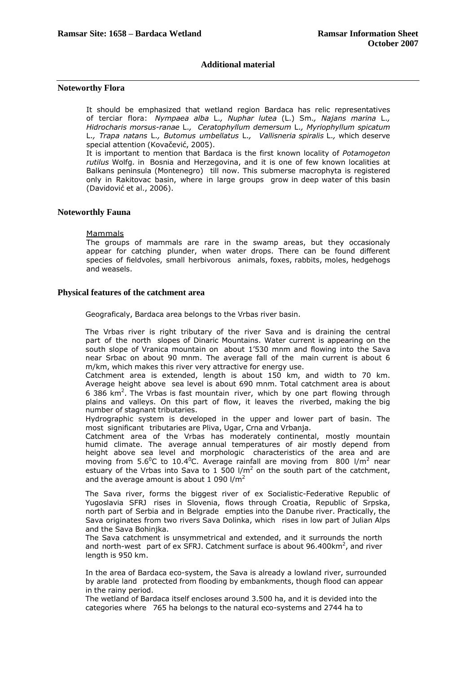## **Additional material**

## **Noteworthy Flora**

It should be emphasized that wetland region Bardaca has relic representatives of terciar flora: *Nympaea alba* L.*, Nuphar lutea* (L.) Sm.*, Najans marina* L.*, Hidrocharis morsus-ranae* L.*, Ceratophyllum demersum* L.*, Myriophyllum spicatum* L.*, Trapa natans* L.*, Butomus umbellatus* L.*, Vallisneria spiralis* L.*,* which deserve special attention (Kovačević, 2005).

It is important to mention that Bardaca is the first known locality of *Potamogeton rutilus* Wolfg. in Bosnia and Herzegovina, and it is one of few known localities at Balkans peninsula (Montenegro) till now. This submerse macrophyta is registered only in Rakitovac basin, where in large groups grow in deep water of this basin (Davidović et al., 2006).

#### **Noteworthly Fauna**

#### Mammals

The groups of mammals are rare in the swamp areas, but they occasionaly appear for catching plunder, when water drops. There can be found different species of fieldvoles, small herbivorous animals, foxes, rabbits, moles, hedgehogs and weasels.

## **Physical features of the catchment area**

Geograficaly, Bardaca area belongs to the Vrbas river basin.

The Vrbas river is right tributary of the river Sava and is draining the central part of the north slopes of Dinaric Mountains. Water current is appearing on the south slope of Vranica mountain on about 1'530 mnm and flowing into the Sava near Srbac on about 90 mnm. The average fall of the main current is about 6 m/km, which makes this river very attractive for energy use.

Catchment area is extended, length is about 150 km, and width to 70 km. Average height above sea level is about 690 mnm. Total catchment area is about 6 386  $km<sup>2</sup>$ . The Vrbas is fast mountain river, which by one part flowing through plains and valleys. On this part of flow, it leaves the riverbed, making the big number of stagnant tributaries.

Hydrographic system is developed in the upper and lower part of basin. The most significant tributaries are Pliva, Ugar, Crna and Vrbanja.

Catchment area of the Vrbas has moderately continental, mostly mountain humid climate. The average annual temperatures of air mostly depend from height above sea level and morphologic characteristics of the area and are moving from 5.6<sup>o</sup>C to 10.4<sup>o</sup>C. Average rainfall are moving from 800 l/m<sup>2</sup> near estuary of the Vrbas into Sava to 1 500  $1/m^2$  on the south part of the catchment, and the average amount is about  $1090$  l/m<sup>2</sup>

The Sava river, forms the biggest river of ex Socialistic-Federative Republic of Yugoslavia SFRJ rises in Slovenia, flows through Croatia, Republic of Srpska, north part of Serbia and in Belgrade empties into the Danube river. Practically, the Sava originates from two rivers Sava Dolinka, which rises in low part of Julian Alps and the Sava Bohinjka.

The Sava catchment is unsymmetrical and extended, and it surrounds the north and north-west part of ex SFRJ. Catchment surface is about  $96.400 \text{km}^2$ , and river length is 950 km.

In the area of Bardaca eco-system, the Sava is already a lowland river, surrounded by arable land protected from flooding by embankments, though flood can appear in the rainy period.

The wetland of Bardaca itself encloses around 3.500 ha, and it is devided into the categories where 765 ha belongs to the natural eco-systems and 2744 ha to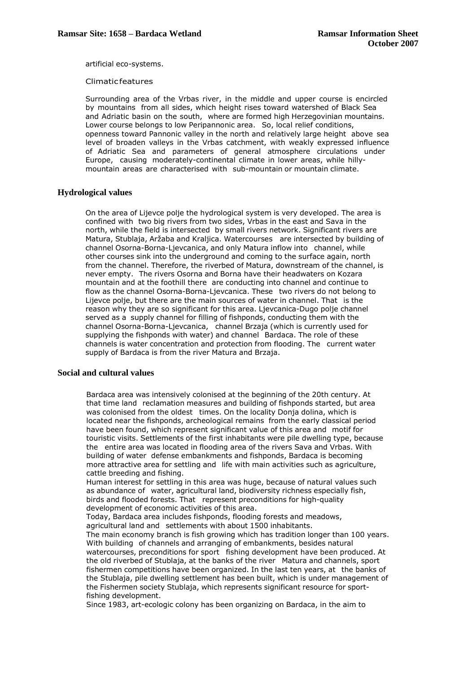artificial eco-systems.

#### Climatic features

Surrounding area of the Vrbas river, in the middle and upper course is encircled by mountains from all sides, which height rises toward watershed of Black Sea and Adriatic basin on the south, where are formed high Herzegovinian mountains. Lower course belongs to low Peripannonic area. So, local relief conditions, openness toward Pannonic valley in the north and relatively large height above sea level of broaden valleys in the Vrbas catchment, with weakly expressed influence of Adriatic Sea and parameters of general atmosphere circulations under Europe, causing moderately-continental climate in lower areas, while hillymountain areas are characterised with sub-mountain or mountain climate.

## **Hydrological values**

On the area of Lijevce polje the hydrological system is very developed. The area is confined with two big rivers from two sides, Vrbas in the east and Sava in the north, while the field is intersected by small rivers network. Significant rivers are Matura, Stublaja, Aržaba and Kraljica. Watercourses are intersected by building of channel Osorna-Borna-Ljevcanica, and only Matura inflow into channel, while other courses sink into the underground and coming to the surface again, north from the channel. Therefore, the riverbed of Matura, downstream of the channel, is never empty. The rivers Osorna and Borna have their headwaters on Kozara mountain and at the foothill there are conducting into channel and continue to flow as the channel Osorna-Borna-Ljevcanica. These two rivers do not belong to Lijevce polje, but there are the main sources of water in channel. That is the reason why they are so significant for this area. Ljevcanica-Dugo polje channel served as a supply channel for filling of fishponds, conducting them with the channel Osorna-Borna-Ljevcanica, channel Brzaja (which is currently used for supplying the fishponds with water) and channel Bardaca. The role of these channels is water concentration and protection from flooding. The current water supply of Bardaca is from the river Matura and Brzaja.

## **Social and cultural values**

Bardaca area was intensively colonised at the beginning of the 20th century. At that time land reclamation measures and building of fishponds started, but area was colonised from the oldest times. On the locality Donja dolina, which is located near the fishponds, archeological remains from the early classical period have been found, which represent significant value of this area and motif for touristic visits. Settlements of the first inhabitants were pile dwelling type, because the entire area was located in flooding area of the rivers Sava and Vrbas. With building of water defense embankments and fishponds, Bardaca is becoming more attractive area for settling and life with main activities such as agriculture, cattle breeding and fishing.

Human interest for settling in this area was huge, because of natural values such as abundance of water, agricultural land, biodiversity richness especially fish, birds and flooded forests. That represent preconditions for high-quality development of economic activities of this area.

Today, Bardaca area includes fishponds, flooding forests and meadows, agricultural land and settlements with about 1500 inhabitants.

The main economy branch is fish growing which has tradition longer than 100 years. With building of channels and arranging of embankments, besides natural watercourses, preconditions for sport fishing development have been produced. At the old riverbed of Stublaja, at the banks of the river Matura and channels, sport fishermen competitions have been organized. In the last ten years, at the banks of the Stublaja, pile dwelling settlement has been built, which is under management of the Fishermen society Stublaja, which represents significant resource for sportfishing development.

Since 1983, art-ecologic colony has been organizing on Bardaca, in the aim to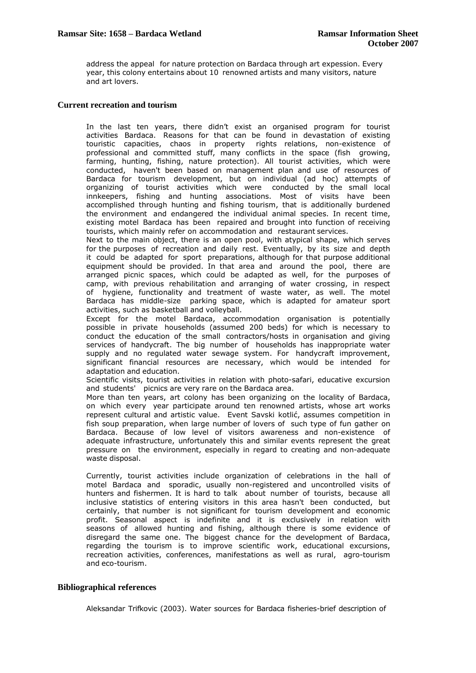address the appeal for nature protection on Bardaca through art expession. Every year, this colony entertains about 10 renowned artists and many visitors, nature and art lovers.

#### **Current recreation and tourism**

In the last ten years, there didn't exist an organised program for tourist activities Bardaca. Reasons for that can be found in devastation of existing touristic capacities, chaos in property rights relations, non-existence of professional and committed stuff, many conflicts in the space (fish growing, farming, hunting, fishing, nature protection). All tourist activities, which were conducted, haven't been based on management plan and use of resources of Bardaca for tourism development, but on individual (ad hoc) attempts of organizing of tourist activities which were conducted by the small local innkeepers, fishing and hunting associations. Most of visits have been accomplished through hunting and fishing tourism, that is additionally burdened the environment and endangered the individual animal species. In recent time, existing motel Bardaca has been repaired and brought into function of receiving tourists, which mainly refer on accommodation and restaurant services.

Next to the main object, there is an open pool, with atypical shape, which serves for the purposes of recreation and daily rest. Eventually, by its size and depth it could be adapted for sport preparations, although for that purpose additional equipment should be provided. In that area and around the pool, there are arranged picnic spaces, which could be adapted as well, for the purposes of camp, with previous rehabilitation and arranging of water crossing, in respect of hygiene, functionality and treatment of waste water, as well. The motel Bardaca has middle-size parking space, which is adapted for amateur sport activities, such as basketball and volleyball.

Except for the motel Bardaca, accommodation organisation is potentially possible in private households (assumed 200 beds) for which is necessary to conduct the education of the small contractors/hosts in organisation and giving services of handycraft. The big number of households has inappropriate water supply and no regulated water sewage system. For handycraft improvement, significant financial resources are necessary, which would be intended for adaptation and education.

Scientific visits, tourist activities in relation with photo-safari, educative excursion and students' picnics are very rare on the Bardaca area.

More than ten years, art colony has been organizing on the locality of Bardaca, on which every year participate around ten renowned artists, whose art works represent cultural and artistic value. Event Savski kotlić, assumes competition in fish soup preparation, when large number of lovers of such type of fun gather on Bardaca. Because of low level of visitors awareness and non-existence of adequate infrastructure, unfortunately this and similar events represent the great pressure on the environment, especially in regard to creating and non-adequate waste disposal.

Currently, tourist activities include organization of celebrations in the hall of motel Bardaca and sporadic, usually non-registered and uncontrolled visits of hunters and fishermen. It is hard to talk about number of tourists, because all inclusive statistics of entering visitors in this area hasn't been conducted, but certainly, that number is not significant for tourism development and economic profit. Seasonal aspect is indefinite and it is exclusively in relation with seasons of allowed hunting and fishing, although there is some evidence of disregard the same one. The biggest chance for the development of Bardaca, regarding the tourism is to improve scientific work, educational excursions, recreation activities, conferences, manifestations as well as rural, agro-tourism and eco-tourism.

## **Bibliographical references**

Aleksandar Trifkovic (2003). Water sources for Bardaca fisheries-brief description of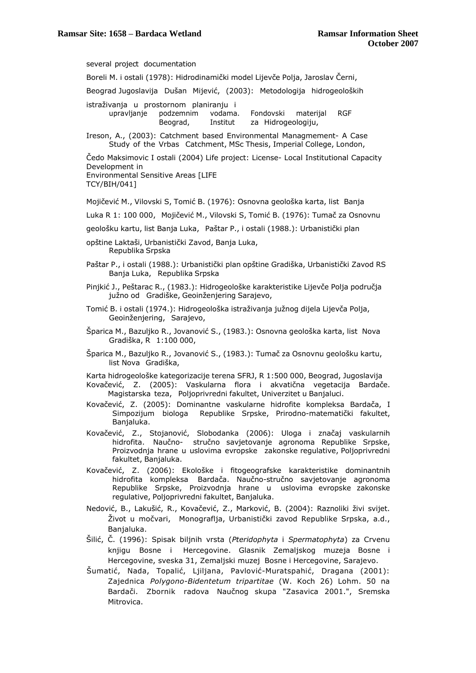several project documentation Boreli M. i ostali (1978): Hidrodinamički model Lijevče Polja, Jaroslav Černi, Beograd Jugoslavija Dušan Mijević, (2003): Metodologija hidrogeoloških istraživanja u prostornom planiranju i upravljanje podzemnim vodama. Fondovski materijal RGF Beograd, Institut za Hidrogeologiju, Ireson, A., (2003): Catchment based Environmental Managmement- A Case Study of the Vrbas Catchment, MSc Thesis, Imperial College, London, Čedo Maksimovic I ostali (2004) Life project: License- Local Institutional Capacity Development in Environmental Sensitive Areas [LIFE TCY/BIH/041] Mojičević M., Vilovski S, Tomić B. (1976): Osnovna geološka karta, list Banja Luka R 1: 100 000, Mojičević M., Vilovski S, Tomić B. (1976): Tumač za Osnovnu geološku kartu, list Banja Luka, Paštar P., i ostali (1988.): Urbanistički plan opštine Laktaši, Urbanistički Zavod, Banja Luka, Republika Srpska Paštar P., i ostali (1988.): Urbanistički plan opštine Gradiška, Urbanistički Zavod RS Banja Luka, Republika Srpska Pinjkić J., Peštarac R., (1983.): Hidrogeološke karakteristike Lijevče Polja područja južno od Gradiške, Geoinženjering Sarajevo, Tomić B. i ostali (1974.): Hidrogeološka istraživanja južnog dijela Lijevča Polja, Geoinženjering, Sarajevo, Šparica M., Bazuljko R., Jovanović S., (1983.): Osnovna geološka karta, list Nova Gradiška, R 1:100 000, Šparica M., Bazuljko R., Jovanović S., (1983.): Tumač za Osnovnu geološku kartu, list Nova Gradiška, Karta hidrogeološke kategorizacije terena SFRJ, R 1:500 000, Beograd, Jugoslavija Kovačević, Z. (2005): Vaskularna flora i akvatična vegetacija Bardače. Magistarska teza, Poljoprivredni fakultet, Univerzitet u Banjaluci. Kovačević, Z. (2005): Dominantne vaskularne hidrofite kompleksa Bardača, I Simpozijum biologa Republike Srpske, Prirodno-matematički fakultet, Banjaluka. Kovačević, Z., Stojanović, Slobodanka (2006): Uloga i značaj vaskularnih hidrofita. Naučno- stručno savjetovanje agronoma Republike Srpske, Proizvodnja hrane u uslovima evropske zakonske regulative, Poljoprivredni fakultet, Banjaluka. Kovačević, Z. (2006): Ekološke i fitogeografske karakteristike dominantnih hidrofita kompleksa Bardača. Naučno-stručno savjetovanje agronoma Republike Srpske, Proizvodnja hrane u uslovima evropske zakonske regulative, Poljoprivredni fakultet, Banjaluka. Nedović, B., Lakušić, R., Kovačević, Z., Marković, B. (2004): Raznoliki živi svijet. Život u močvari, Monograflja, Urbanistički zavod Republike Srpska, a.d., Banjaluka. Šilić, Č. (1996): Spisak biljnih vrsta (*Pteridophyta* i *Spermatophyta*) za Crvenu knjigu Bosne i Hercegovine. Glasnik Zemaljskog muzeja Bosne i Hercegovine, sveska 31, Zemaljski muzej Bosne i Hercegovine, Sarajevo. Šumatić, Nada, Topalić, Ljiljana, Pavlović-Muratspahić, Dragana (2001): Zajednica *Polygono-Bidentetum tripartitae* (W. Koch 26) Lohm. 50 na Bardači. Zbornik radova Naučnog skupa "Zasavica 2001.", Sremska Mitrovica.